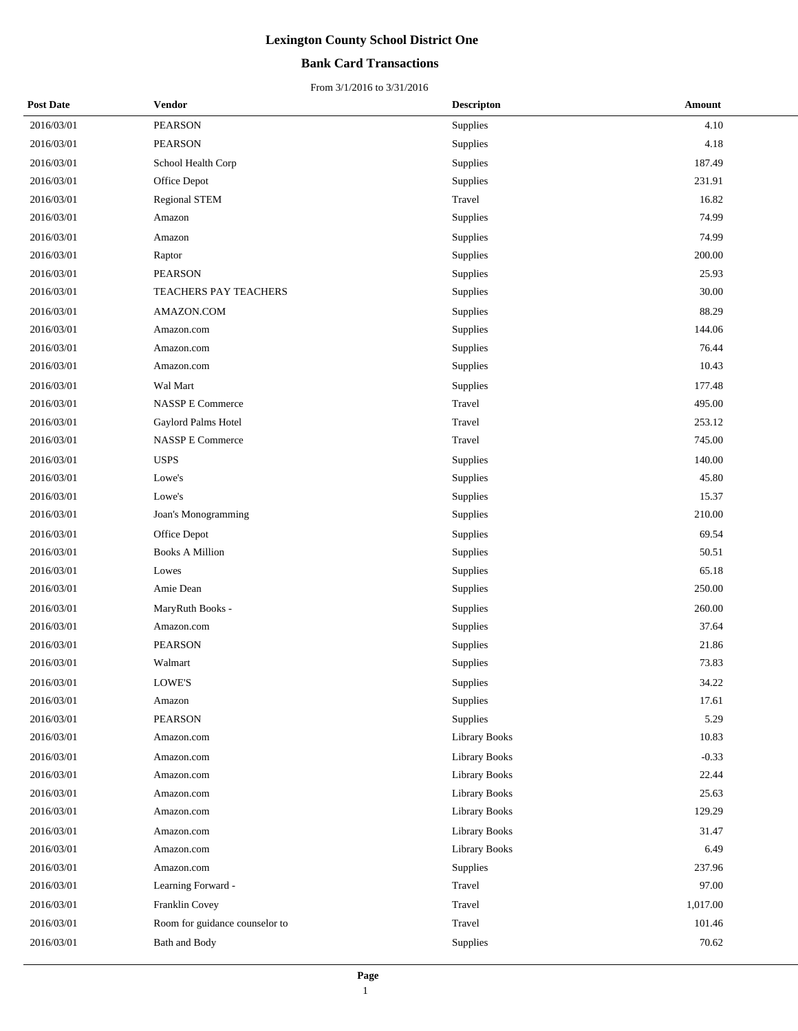## **Bank Card Transactions**

| <b>Post Date</b> | Vendor                         | <b>Descripton</b>    | Amount   |
|------------------|--------------------------------|----------------------|----------|
| 2016/03/01       | <b>PEARSON</b>                 | Supplies             | 4.10     |
| 2016/03/01       | <b>PEARSON</b>                 | Supplies             | 4.18     |
| 2016/03/01       | School Health Corp             | Supplies             | 187.49   |
| 2016/03/01       | Office Depot                   | Supplies             | 231.91   |
| 2016/03/01       | <b>Regional STEM</b>           | Travel               | 16.82    |
| 2016/03/01       | Amazon                         | Supplies             | 74.99    |
| 2016/03/01       | Amazon                         | Supplies             | 74.99    |
| 2016/03/01       | Raptor                         | Supplies             | 200.00   |
| 2016/03/01       | PEARSON                        | Supplies             | 25.93    |
| 2016/03/01       | TEACHERS PAY TEACHERS          | Supplies             | 30.00    |
| 2016/03/01       | AMAZON.COM                     | Supplies             | 88.29    |
| 2016/03/01       | Amazon.com                     | Supplies             | 144.06   |
| 2016/03/01       | Amazon.com                     | Supplies             | 76.44    |
| 2016/03/01       | Amazon.com                     | Supplies             | 10.43    |
| 2016/03/01       | Wal Mart                       | Supplies             | 177.48   |
| 2016/03/01       | <b>NASSP E Commerce</b>        | Travel               | 495.00   |
| 2016/03/01       | Gaylord Palms Hotel            | Travel               | 253.12   |
| 2016/03/01       | <b>NASSP E Commerce</b>        | Travel               | 745.00   |
| 2016/03/01       | <b>USPS</b>                    | Supplies             | 140.00   |
| 2016/03/01       | Lowe's                         | Supplies             | 45.80    |
| 2016/03/01       | Lowe's                         | Supplies             | 15.37    |
| 2016/03/01       | Joan's Monogramming            | Supplies             | 210.00   |
| 2016/03/01       | Office Depot                   | Supplies             | 69.54    |
| 2016/03/01       | <b>Books A Million</b>         | Supplies             | 50.51    |
| 2016/03/01       | Lowes                          | Supplies             | 65.18    |
| 2016/03/01       | Amie Dean                      | Supplies             | 250.00   |
| 2016/03/01       | MaryRuth Books -               | <b>Supplies</b>      | 260.00   |
| 2016/03/01       | Amazon.com                     | Supplies             | 37.64    |
| 2016/03/01       | <b>PEARSON</b>                 | Supplies             | 21.86    |
| 2016/03/01       | Walmart                        | Supplies             | 73.83    |
| 2016/03/01       | <b>LOWE'S</b>                  | Supplies             | 34.22    |
| 2016/03/01       | Amazon                         | Supplies             | 17.61    |
| 2016/03/01       | PEARSON                        | Supplies             | 5.29     |
| 2016/03/01       | Amazon.com                     | Library Books        | 10.83    |
| 2016/03/01       | Amazon.com                     | <b>Library Books</b> | $-0.33$  |
| 2016/03/01       | Amazon.com                     | Library Books        | 22.44    |
| 2016/03/01       | Amazon.com                     | Library Books        | 25.63    |
| 2016/03/01       | Amazon.com                     | Library Books        | 129.29   |
| 2016/03/01       | Amazon.com                     | Library Books        | 31.47    |
| 2016/03/01       | Amazon.com                     | Library Books        | 6.49     |
| 2016/03/01       | Amazon.com                     | Supplies             | 237.96   |
| 2016/03/01       | Learning Forward -             | Travel               | 97.00    |
| 2016/03/01       | Franklin Covey                 | Travel               | 1,017.00 |
| 2016/03/01       | Room for guidance counselor to | Travel               | 101.46   |
| 2016/03/01       | Bath and Body                  | Supplies             | 70.62    |
|                  |                                |                      |          |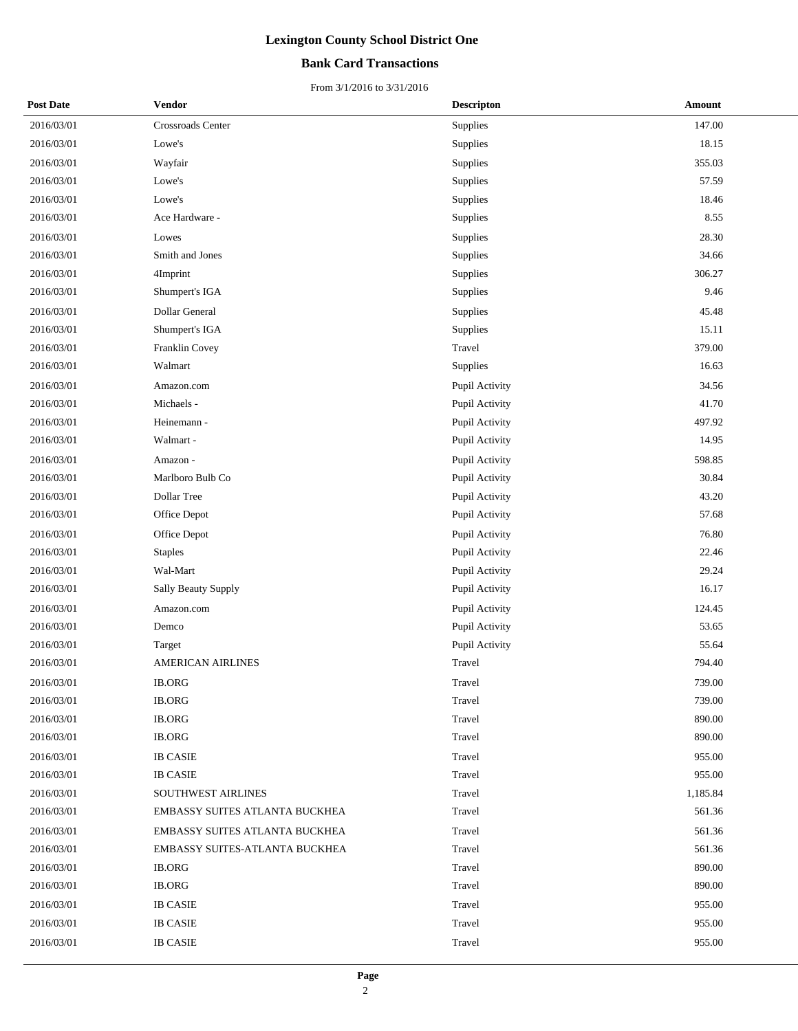## **Bank Card Transactions**

| <b>Post Date</b> | Vendor                         | <b>Descripton</b> | Amount   |
|------------------|--------------------------------|-------------------|----------|
| 2016/03/01       | Crossroads Center              | Supplies          | 147.00   |
| 2016/03/01       | Lowe's                         | Supplies          | 18.15    |
| 2016/03/01       | Wayfair                        | Supplies          | 355.03   |
| 2016/03/01       | Lowe's                         | Supplies          | 57.59    |
| 2016/03/01       | Lowe's                         | Supplies          | 18.46    |
| 2016/03/01       | Ace Hardware -                 | Supplies          | 8.55     |
| 2016/03/01       | Lowes                          | Supplies          | 28.30    |
| 2016/03/01       | Smith and Jones                | Supplies          | 34.66    |
| 2016/03/01       | 4Imprint                       | Supplies          | 306.27   |
| 2016/03/01       | Shumpert's IGA                 | Supplies          | 9.46     |
| 2016/03/01       | Dollar General                 | Supplies          | 45.48    |
| 2016/03/01       | Shumpert's IGA                 | Supplies          | 15.11    |
| 2016/03/01       | Franklin Covey                 | Travel            | 379.00   |
| 2016/03/01       | Walmart                        | Supplies          | 16.63    |
| 2016/03/01       | Amazon.com                     | Pupil Activity    | 34.56    |
| 2016/03/01       | Michaels -                     | Pupil Activity    | 41.70    |
| 2016/03/01       | Heinemann -                    | Pupil Activity    | 497.92   |
| 2016/03/01       | Walmart -                      | Pupil Activity    | 14.95    |
| 2016/03/01       | Amazon -                       | Pupil Activity    | 598.85   |
| 2016/03/01       | Marlboro Bulb Co               | Pupil Activity    | 30.84    |
| 2016/03/01       | Dollar Tree                    | Pupil Activity    | 43.20    |
| 2016/03/01       | Office Depot                   | Pupil Activity    | 57.68    |
| 2016/03/01       | Office Depot                   | Pupil Activity    | 76.80    |
| 2016/03/01       | <b>Staples</b>                 | Pupil Activity    | 22.46    |
| 2016/03/01       | Wal-Mart                       | Pupil Activity    | 29.24    |
| 2016/03/01       | Sally Beauty Supply            | Pupil Activity    | 16.17    |
| 2016/03/01       | Amazon.com                     | Pupil Activity    | 124.45   |
| 2016/03/01       | Demco                          | Pupil Activity    | 53.65    |
| 2016/03/01       | Target                         | Pupil Activity    | 55.64    |
| 2016/03/01       | <b>AMERICAN AIRLINES</b>       | Travel            | 794.40   |
| 2016/03/01       | <b>IB.ORG</b>                  | Travel            | 739.00   |
| 2016/03/01       | <b>IB.ORG</b>                  | Travel            | 739.00   |
| 2016/03/01       | <b>IB.ORG</b>                  | Travel            | 890.00   |
| 2016/03/01       | <b>IB.ORG</b>                  | Travel            | 890.00   |
| 2016/03/01       | <b>IB CASIE</b>                | Travel            | 955.00   |
| 2016/03/01       | <b>IB CASIE</b>                | Travel            | 955.00   |
| 2016/03/01       | SOUTHWEST AIRLINES             | Travel            | 1,185.84 |
| 2016/03/01       | EMBASSY SUITES ATLANTA BUCKHEA | Travel            | 561.36   |
| 2016/03/01       | EMBASSY SUITES ATLANTA BUCKHEA | Travel            | 561.36   |
| 2016/03/01       | EMBASSY SUITES-ATLANTA BUCKHEA | Travel            | 561.36   |
| 2016/03/01       | <b>IB.ORG</b>                  | Travel            | 890.00   |
| 2016/03/01       | <b>IB.ORG</b>                  | Travel            | 890.00   |
| 2016/03/01       | <b>IB CASIE</b>                | Travel            | 955.00   |
| 2016/03/01       | <b>IB CASIE</b>                | Travel            | 955.00   |
| 2016/03/01       | <b>IB CASIE</b>                | Travel            | 955.00   |
|                  |                                |                   |          |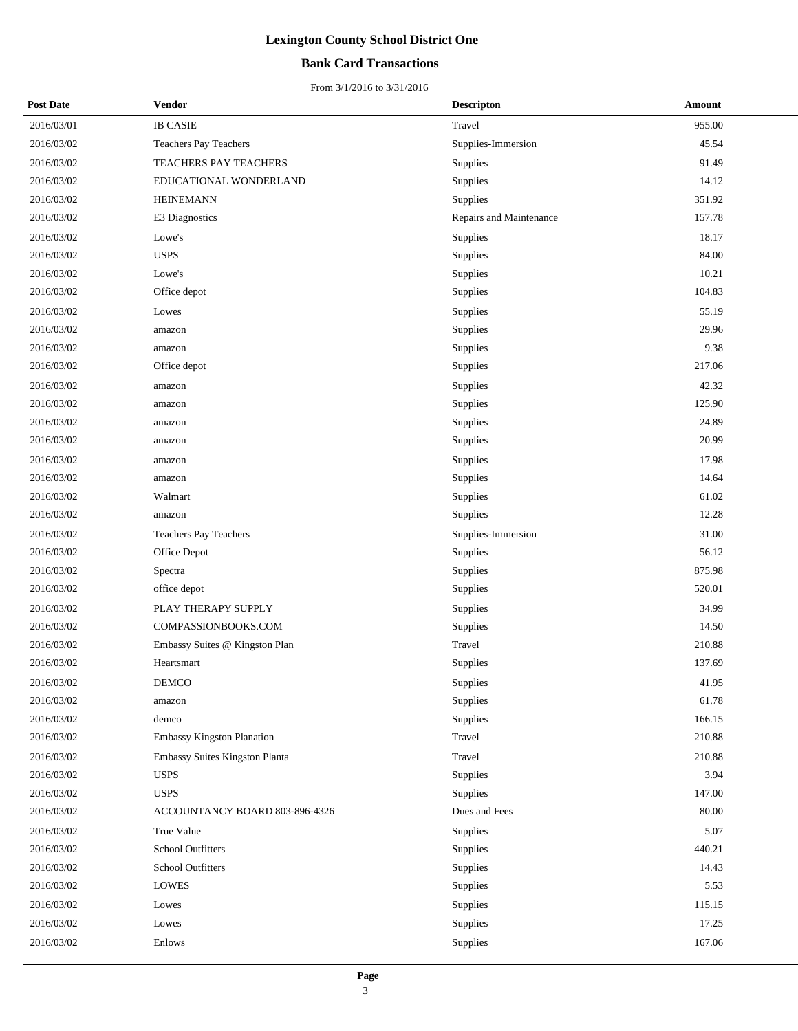## **Bank Card Transactions**

| <b>Post Date</b> | Vendor                         | <b>Descripton</b>       | <b>Amount</b> |
|------------------|--------------------------------|-------------------------|---------------|
| 2016/03/01       | <b>IB CASIE</b>                | Travel                  | 955.00        |
| 2016/03/02       | Teachers Pay Teachers          | Supplies-Immersion      | 45.54         |
| 2016/03/02       | TEACHERS PAY TEACHERS          | Supplies                | 91.49         |
| 2016/03/02       | EDUCATIONAL WONDERLAND         | Supplies                | 14.12         |
| 2016/03/02       | <b>HEINEMANN</b>               | Supplies                | 351.92        |
| 2016/03/02       | E3 Diagnostics                 | Repairs and Maintenance | 157.78        |
| 2016/03/02       | Lowe's                         | Supplies                | 18.17         |
| 2016/03/02       | <b>USPS</b>                    | Supplies                | 84.00         |
| 2016/03/02       | Lowe's                         | Supplies                | 10.21         |
| 2016/03/02       | Office depot                   | Supplies                | 104.83        |
| 2016/03/02       | Lowes                          | Supplies                | 55.19         |
| 2016/03/02       | amazon                         | Supplies                | 29.96         |
| 2016/03/02       | amazon                         | Supplies                | 9.38          |
| 2016/03/02       | Office depot                   | Supplies                | 217.06        |
| 2016/03/02       | amazon                         | Supplies                | 42.32         |
| 2016/03/02       | amazon                         | Supplies                | 125.90        |
| 2016/03/02       | amazon                         | Supplies                | 24.89         |
| 2016/03/02       | amazon                         | Supplies                | 20.99         |
| 2016/03/02       | amazon                         | <b>Supplies</b>         | 17.98         |
| 2016/03/02       | amazon                         | Supplies                | 14.64         |
| 2016/03/02       | Walmart                        | Supplies                | 61.02         |
| 2016/03/02       | amazon                         | Supplies                | 12.28         |
| 2016/03/02       | Teachers Pay Teachers          | Supplies-Immersion      | 31.00         |
| 2016/03/02       | Office Depot                   | Supplies                | 56.12         |
| 2016/03/02       | Spectra                        | Supplies                | 875.98        |
| 2016/03/02       | office depot                   | Supplies                | 520.01        |
| 2016/03/02       | PLAY THERAPY SUPPLY            | Supplies                | 34.99         |
| 2016/03/02       | COMPASSIONBOOKS.COM            | Supplies                | 14.50         |
| 2016/03/02       | Embassy Suites @ Kingston Plan | Travel                  | 210.88        |
| 2016/03/02       | Heartsmart                     | Supplies                | 137.69        |
| 2016/03/02       | <b>DEMCO</b>                   | Supplies                | 41.95         |
| 2016/03/02       | amazon                         | Supplies                | 61.78         |
| 2016/03/02       | demco                          | Supplies                | 166.15        |
| 2016/03/02       | Embassy Kingston Planation     | Travel                  | 210.88        |
| 2016/03/02       | Embassy Suites Kingston Planta | Travel                  | 210.88        |
| 2016/03/02       | <b>USPS</b>                    | Supplies                | 3.94          |
| 2016/03/02       | <b>USPS</b>                    | Supplies                | 147.00        |
| 2016/03/02       | ACCOUNTANCY BOARD 803-896-4326 | Dues and Fees           | 80.00         |
| 2016/03/02       | True Value                     | <b>Supplies</b>         | 5.07          |
| 2016/03/02       | School Outfitters              | Supplies                | 440.21        |
| 2016/03/02       | School Outfitters              | Supplies                | 14.43         |
| 2016/03/02       | <b>LOWES</b>                   | Supplies                | 5.53          |
| 2016/03/02       | Lowes                          | Supplies                | 115.15        |
| 2016/03/02       | Lowes                          | Supplies                | 17.25         |
| 2016/03/02       | Enlows                         | Supplies                | 167.06        |
|                  |                                |                         |               |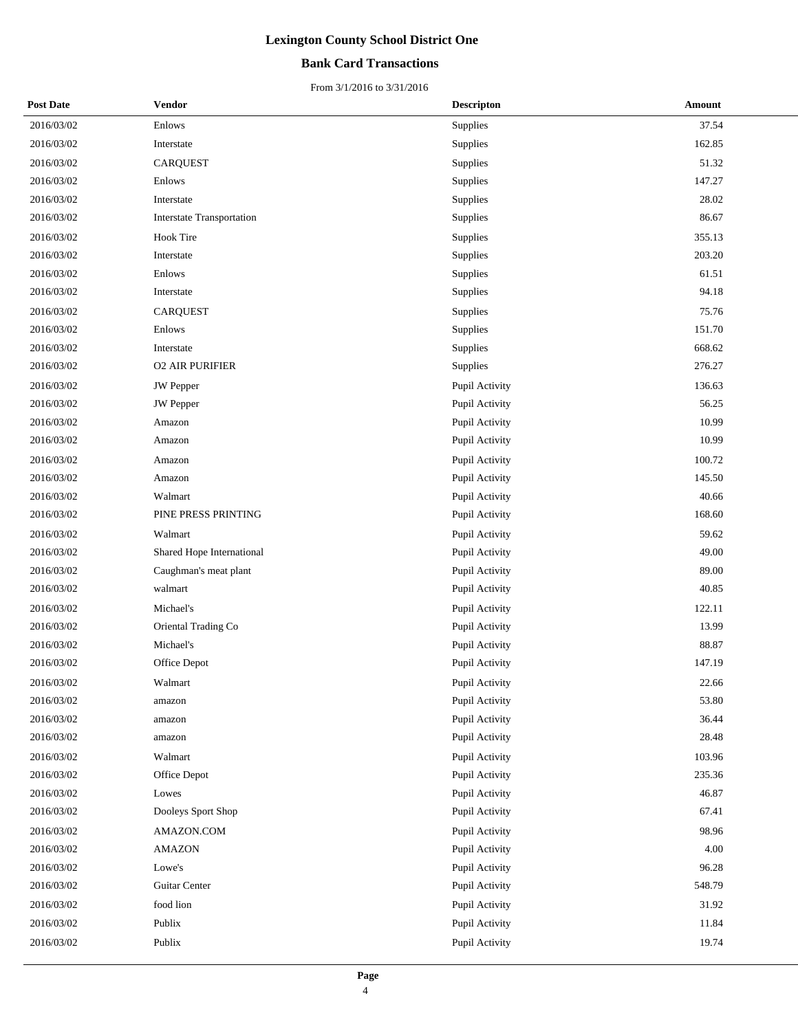## **Bank Card Transactions**

| <b>Post Date</b> | Vendor                           | <b>Descripton</b> | Amount |
|------------------|----------------------------------|-------------------|--------|
| 2016/03/02       | Enlows                           | Supplies          | 37.54  |
| 2016/03/02       | Interstate                       | Supplies          | 162.85 |
| 2016/03/02       | <b>CARQUEST</b>                  | Supplies          | 51.32  |
| 2016/03/02       | Enlows                           | Supplies          | 147.27 |
| 2016/03/02       | Interstate                       | Supplies          | 28.02  |
| 2016/03/02       | <b>Interstate Transportation</b> | Supplies          | 86.67  |
| 2016/03/02       | <b>Hook Tire</b>                 | Supplies          | 355.13 |
| 2016/03/02       | Interstate                       | Supplies          | 203.20 |
| 2016/03/02       | Enlows                           | Supplies          | 61.51  |
| 2016/03/02       | Interstate                       | Supplies          | 94.18  |
| 2016/03/02       | <b>CARQUEST</b>                  | Supplies          | 75.76  |
| 2016/03/02       | Enlows                           | Supplies          | 151.70 |
| 2016/03/02       | Interstate                       | Supplies          | 668.62 |
| 2016/03/02       | <b>02 AIR PURIFIER</b>           | Supplies          | 276.27 |
| 2016/03/02       | <b>JW</b> Pepper                 | Pupil Activity    | 136.63 |
| 2016/03/02       | <b>JW</b> Pepper                 | Pupil Activity    | 56.25  |
| 2016/03/02       | Amazon                           | Pupil Activity    | 10.99  |
| 2016/03/02       | Amazon                           | Pupil Activity    | 10.99  |
| 2016/03/02       | Amazon                           | Pupil Activity    | 100.72 |
| 2016/03/02       | Amazon                           | Pupil Activity    | 145.50 |
| 2016/03/02       | Walmart                          | Pupil Activity    | 40.66  |
| 2016/03/02       | PINE PRESS PRINTING              | Pupil Activity    | 168.60 |
| 2016/03/02       | Walmart                          | Pupil Activity    | 59.62  |
| 2016/03/02       | Shared Hope International        | Pupil Activity    | 49.00  |
| 2016/03/02       | Caughman's meat plant            | Pupil Activity    | 89.00  |
| 2016/03/02       | walmart                          | Pupil Activity    | 40.85  |
| 2016/03/02       | Michael's                        | Pupil Activity    | 122.11 |
| 2016/03/02       | Oriental Trading Co              | Pupil Activity    | 13.99  |
| 2016/03/02       | Michael's                        | Pupil Activity    | 88.87  |
| 2016/03/02       | Office Depot                     | Pupil Activity    | 147.19 |
| 2016/03/02       | Walmart                          | Pupil Activity    | 22.66  |
| 2016/03/02       | amazon                           | Pupil Activity    | 53.80  |
| 2016/03/02       | amazon                           | Pupil Activity    | 36.44  |
| 2016/03/02       | amazon                           | Pupil Activity    | 28.48  |
| 2016/03/02       | Walmart                          | Pupil Activity    | 103.96 |
| 2016/03/02       | Office Depot                     | Pupil Activity    | 235.36 |
| 2016/03/02       | Lowes                            | Pupil Activity    | 46.87  |
| 2016/03/02       | Dooleys Sport Shop               | Pupil Activity    | 67.41  |
| 2016/03/02       | AMAZON.COM                       | Pupil Activity    | 98.96  |
| 2016/03/02       | <b>AMAZON</b>                    | Pupil Activity    | 4.00   |
| 2016/03/02       | Lowe's                           | Pupil Activity    | 96.28  |
| 2016/03/02       | Guitar Center                    | Pupil Activity    | 548.79 |
| 2016/03/02       | food lion                        | Pupil Activity    | 31.92  |
| 2016/03/02       | Publix                           | Pupil Activity    | 11.84  |
| 2016/03/02       | Publix                           | Pupil Activity    | 19.74  |
|                  |                                  |                   |        |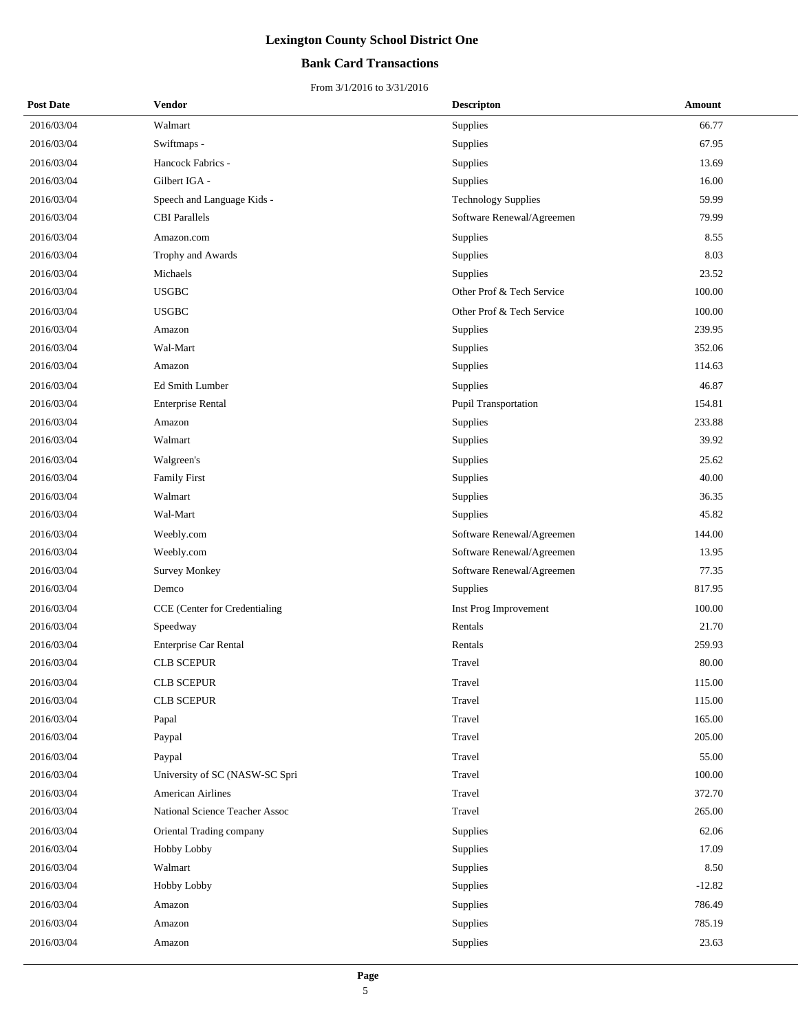## **Bank Card Transactions**

| <b>Post Date</b> | Vendor                         | <b>Descripton</b>          | Amount   |
|------------------|--------------------------------|----------------------------|----------|
| 2016/03/04       | Walmart                        | Supplies                   | 66.77    |
| 2016/03/04       | Swiftmaps -                    | Supplies                   | 67.95    |
| 2016/03/04       | Hancock Fabrics -              | Supplies                   | 13.69    |
| 2016/03/04       | Gilbert IGA -                  | Supplies                   | 16.00    |
| 2016/03/04       | Speech and Language Kids -     | <b>Technology Supplies</b> | 59.99    |
| 2016/03/04       | <b>CBI</b> Parallels           | Software Renewal/Agreemen  | 79.99    |
| 2016/03/04       | Amazon.com                     | Supplies                   | 8.55     |
| 2016/03/04       | Trophy and Awards              | Supplies                   | 8.03     |
| 2016/03/04       | Michaels                       | Supplies                   | 23.52    |
| 2016/03/04       | <b>USGBC</b>                   | Other Prof & Tech Service  | 100.00   |
| 2016/03/04       | <b>USGBC</b>                   | Other Prof & Tech Service  | 100.00   |
| 2016/03/04       | Amazon                         | Supplies                   | 239.95   |
| 2016/03/04       | Wal-Mart                       | Supplies                   | 352.06   |
| 2016/03/04       | Amazon                         | Supplies                   | 114.63   |
| 2016/03/04       | Ed Smith Lumber                | Supplies                   | 46.87    |
| 2016/03/04       | <b>Enterprise Rental</b>       | Pupil Transportation       | 154.81   |
| 2016/03/04       | Amazon                         | Supplies                   | 233.88   |
| 2016/03/04       | Walmart                        | Supplies                   | 39.92    |
| 2016/03/04       | Walgreen's                     | Supplies                   | 25.62    |
| 2016/03/04       | Family First                   | Supplies                   | 40.00    |
| 2016/03/04       | Walmart                        | Supplies                   | 36.35    |
| 2016/03/04       | Wal-Mart                       | Supplies                   | 45.82    |
| 2016/03/04       | Weebly.com                     | Software Renewal/Agreemen  | 144.00   |
| 2016/03/04       | Weebly.com                     | Software Renewal/Agreemen  | 13.95    |
| 2016/03/04       | <b>Survey Monkey</b>           | Software Renewal/Agreemen  | 77.35    |
| 2016/03/04       | Demco                          | Supplies                   | 817.95   |
| 2016/03/04       | CCE (Center for Credentialing  | Inst Prog Improvement      | 100.00   |
| 2016/03/04       | Speedway                       | Rentals                    | 21.70    |
| 2016/03/04       | Enterprise Car Rental          | Rentals                    | 259.93   |
| 2016/03/04       | <b>CLB SCEPUR</b>              | Travel                     | 80.00    |
| 2016/03/04       | <b>CLB SCEPUR</b>              | Travel                     | 115.00   |
| 2016/03/04       | <b>CLB SCEPUR</b>              | Travel                     | 115.00   |
| 2016/03/04       | Papal                          | Travel                     | 165.00   |
| 2016/03/04       | Paypal                         | Travel                     | 205.00   |
| 2016/03/04       | Paypal                         | Travel                     | 55.00    |
| 2016/03/04       | University of SC (NASW-SC Spri | Travel                     | 100.00   |
| 2016/03/04       | American Airlines              | Travel                     | 372.70   |
| 2016/03/04       | National Science Teacher Assoc | Travel                     | 265.00   |
| 2016/03/04       | Oriental Trading company       | Supplies                   | 62.06    |
| 2016/03/04       | Hobby Lobby                    | Supplies                   | 17.09    |
| 2016/03/04       | Walmart                        | Supplies                   | 8.50     |
| 2016/03/04       | Hobby Lobby                    | Supplies                   | $-12.82$ |
| 2016/03/04       | Amazon                         | Supplies                   | 786.49   |
| 2016/03/04       | Amazon                         | Supplies                   | 785.19   |
| 2016/03/04       | Amazon                         | Supplies                   | 23.63    |
|                  |                                |                            |          |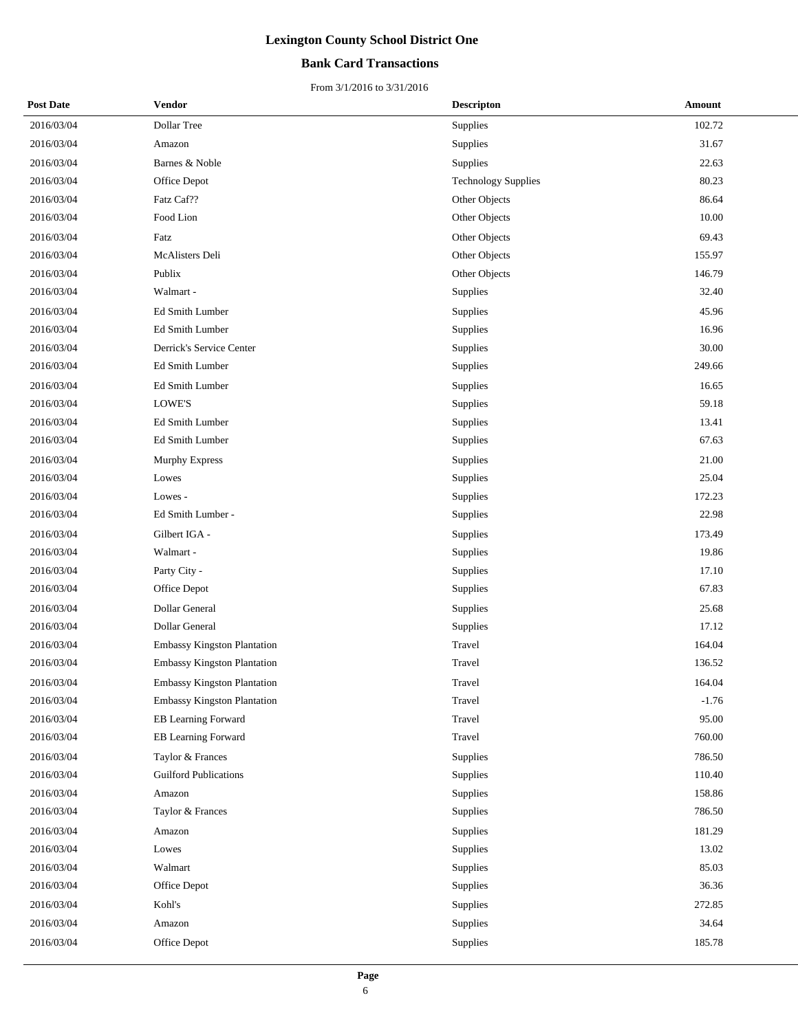## **Bank Card Transactions**

| <b>Post Date</b> | <b>Vendor</b>                      | <b>Descripton</b>          | Amount  |
|------------------|------------------------------------|----------------------------|---------|
| 2016/03/04       | Dollar Tree                        | Supplies                   | 102.72  |
| 2016/03/04       | Amazon                             | Supplies                   | 31.67   |
| 2016/03/04       | Barnes & Noble                     | Supplies                   | 22.63   |
| 2016/03/04       | Office Depot                       | <b>Technology Supplies</b> | 80.23   |
| 2016/03/04       | Fatz Caf??                         | Other Objects              | 86.64   |
| 2016/03/04       | Food Lion                          | Other Objects              | 10.00   |
| 2016/03/04       | Fatz                               | Other Objects              | 69.43   |
| 2016/03/04       | McAlisters Deli                    | Other Objects              | 155.97  |
| 2016/03/04       | Publix                             | Other Objects              | 146.79  |
| 2016/03/04       | Walmart -                          | Supplies                   | 32.40   |
| 2016/03/04       | Ed Smith Lumber                    | Supplies                   | 45.96   |
| 2016/03/04       | Ed Smith Lumber                    | Supplies                   | 16.96   |
| 2016/03/04       | Derrick's Service Center           | Supplies                   | 30.00   |
| 2016/03/04       | Ed Smith Lumber                    | Supplies                   | 249.66  |
| 2016/03/04       | Ed Smith Lumber                    | Supplies                   | 16.65   |
| 2016/03/04       | LOWE'S                             | Supplies                   | 59.18   |
| 2016/03/04       | Ed Smith Lumber                    | Supplies                   | 13.41   |
| 2016/03/04       | Ed Smith Lumber                    | Supplies                   | 67.63   |
| 2016/03/04       | <b>Murphy Express</b>              | Supplies                   | 21.00   |
| 2016/03/04       | Lowes                              | Supplies                   | 25.04   |
| 2016/03/04       | Lowes -                            | Supplies                   | 172.23  |
| 2016/03/04       | Ed Smith Lumber -                  | Supplies                   | 22.98   |
| 2016/03/04       | Gilbert IGA -                      | Supplies                   | 173.49  |
| 2016/03/04       | Walmart -                          | Supplies                   | 19.86   |
| 2016/03/04       | Party City -                       | Supplies                   | 17.10   |
| 2016/03/04       | Office Depot                       | Supplies                   | 67.83   |
| 2016/03/04       | Dollar General                     | Supplies                   | 25.68   |
| 2016/03/04       | Dollar General                     | Supplies                   | 17.12   |
| 2016/03/04       | Embassy Kingston Plantation        | Travel                     | 164.04  |
| 2016/03/04       | <b>Embassy Kingston Plantation</b> | Travel                     | 136.52  |
| 2016/03/04       | <b>Embassy Kingston Plantation</b> | Travel                     | 164.04  |
| 2016/03/04       | <b>Embassy Kingston Plantation</b> | Travel                     | $-1.76$ |
| 2016/03/04       | EB Learning Forward                | Travel                     | 95.00   |
| 2016/03/04       | EB Learning Forward                | Travel                     | 760.00  |
| 2016/03/04       | Taylor & Frances                   | Supplies                   | 786.50  |
| 2016/03/04       | <b>Guilford Publications</b>       | Supplies                   | 110.40  |
| 2016/03/04       | Amazon                             | Supplies                   | 158.86  |
| 2016/03/04       | Taylor & Frances                   | Supplies                   | 786.50  |
| 2016/03/04       | Amazon                             | Supplies                   | 181.29  |
| 2016/03/04       | Lowes                              | Supplies                   | 13.02   |
| 2016/03/04       | Walmart                            | Supplies                   | 85.03   |
| 2016/03/04       | Office Depot                       | Supplies                   | 36.36   |
| 2016/03/04       | Kohl's                             | Supplies                   | 272.85  |
| 2016/03/04       | Amazon                             | Supplies                   | 34.64   |
| 2016/03/04       | Office Depot                       | Supplies                   | 185.78  |
|                  |                                    |                            |         |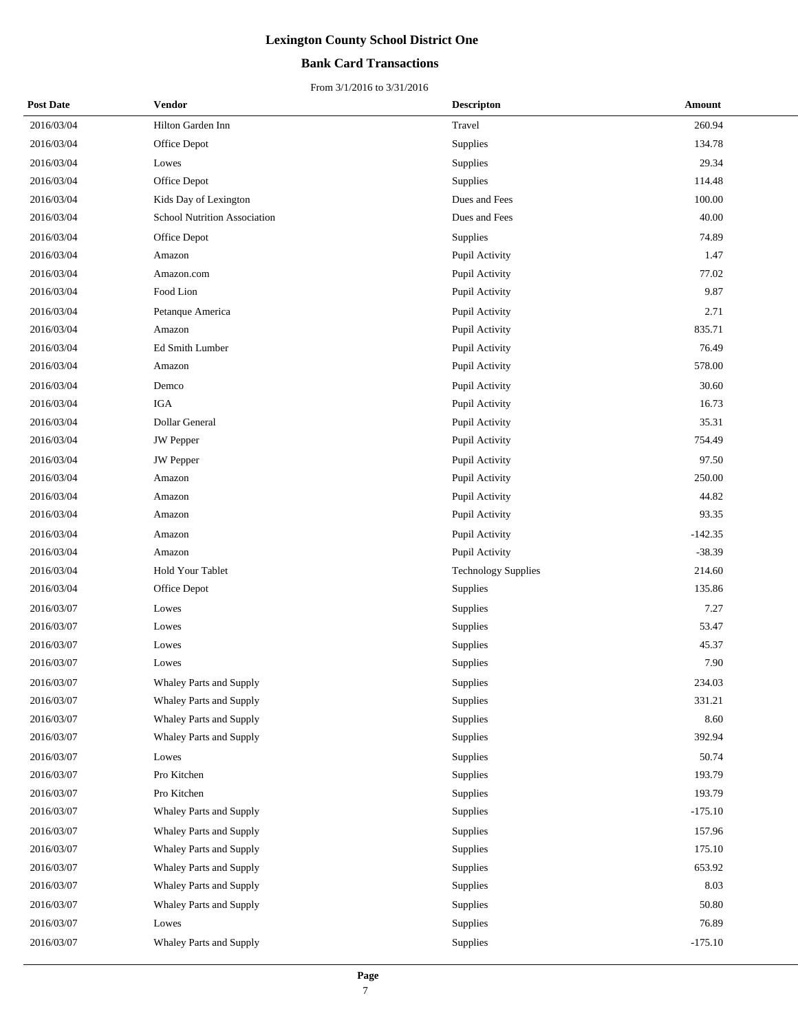## **Bank Card Transactions**

| <b>Post Date</b> | Vendor                              | <b>Descripton</b>          | Amount    |
|------------------|-------------------------------------|----------------------------|-----------|
| 2016/03/04       | Hilton Garden Inn                   | Travel                     | 260.94    |
| 2016/03/04       | Office Depot                        | Supplies                   | 134.78    |
| 2016/03/04       | Lowes                               | Supplies                   | 29.34     |
| 2016/03/04       | Office Depot                        | Supplies                   | 114.48    |
| 2016/03/04       | Kids Day of Lexington               | Dues and Fees              | 100.00    |
| 2016/03/04       | <b>School Nutrition Association</b> | Dues and Fees              | 40.00     |
| 2016/03/04       | Office Depot                        | Supplies                   | 74.89     |
| 2016/03/04       | Amazon                              | Pupil Activity             | 1.47      |
| 2016/03/04       | Amazon.com                          | Pupil Activity             | 77.02     |
| 2016/03/04       | Food Lion                           | Pupil Activity             | 9.87      |
| 2016/03/04       | Petanque America                    | Pupil Activity             | 2.71      |
| 2016/03/04       | Amazon                              | Pupil Activity             | 835.71    |
| 2016/03/04       | Ed Smith Lumber                     | Pupil Activity             | 76.49     |
| 2016/03/04       | Amazon                              | Pupil Activity             | 578.00    |
| 2016/03/04       | Demco                               | Pupil Activity             | 30.60     |
| 2016/03/04       | <b>IGA</b>                          | Pupil Activity             | 16.73     |
| 2016/03/04       | Dollar General                      | Pupil Activity             | 35.31     |
| 2016/03/04       | <b>JW</b> Pepper                    | Pupil Activity             | 754.49    |
| 2016/03/04       | JW Pepper                           | Pupil Activity             | 97.50     |
| 2016/03/04       | Amazon                              | Pupil Activity             | 250.00    |
| 2016/03/04       | Amazon                              | Pupil Activity             | 44.82     |
| 2016/03/04       | Amazon                              | Pupil Activity             | 93.35     |
| 2016/03/04       | Amazon                              | Pupil Activity             | $-142.35$ |
| 2016/03/04       | Amazon                              | Pupil Activity             | $-38.39$  |
| 2016/03/04       | Hold Your Tablet                    | <b>Technology Supplies</b> | 214.60    |
| 2016/03/04       | Office Depot                        | Supplies                   | 135.86    |
| 2016/03/07       | Lowes                               | Supplies                   | 7.27      |
| 2016/03/07       | Lowes                               | Supplies                   | 53.47     |
| 2016/03/07       | Lowes                               | Supplies                   | 45.37     |
| 2016/03/07       | Lowes                               | Supplies                   | 7.90      |
| 2016/03/07       | Whaley Parts and Supply             | Supplies                   | 234.03    |
| 2016/03/07       | Whaley Parts and Supply             | Supplies                   | 331.21    |
| 2016/03/07       | Whaley Parts and Supply             | Supplies                   | 8.60      |
| 2016/03/07       | Whaley Parts and Supply             | Supplies                   | 392.94    |
| 2016/03/07       | Lowes                               | Supplies                   | 50.74     |
| 2016/03/07       | Pro Kitchen                         | Supplies                   | 193.79    |
| 2016/03/07       | Pro Kitchen                         | Supplies                   | 193.79    |
| 2016/03/07       | Whaley Parts and Supply             | Supplies                   | $-175.10$ |
| 2016/03/07       | Whaley Parts and Supply             | Supplies                   | 157.96    |
| 2016/03/07       | Whaley Parts and Supply             | Supplies                   | 175.10    |
| 2016/03/07       | Whaley Parts and Supply             | Supplies                   | 653.92    |
| 2016/03/07       | Whaley Parts and Supply             | Supplies                   | 8.03      |
| 2016/03/07       | Whaley Parts and Supply             | Supplies                   | 50.80     |
| 2016/03/07       | Lowes                               | Supplies                   | 76.89     |
| 2016/03/07       | Whaley Parts and Supply             | Supplies                   | $-175.10$ |
|                  |                                     |                            |           |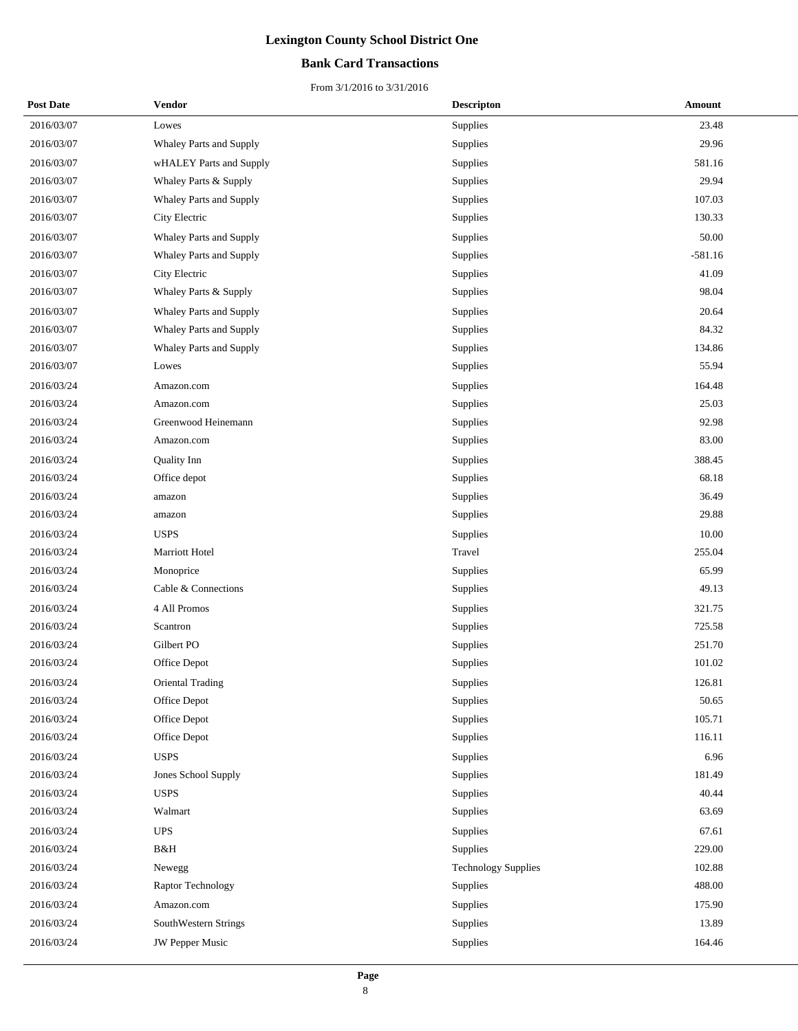## **Bank Card Transactions**

| <b>Post Date</b> | Vendor                  | <b>Descripton</b>          | <b>Amount</b> |
|------------------|-------------------------|----------------------------|---------------|
| 2016/03/07       | Lowes                   | Supplies                   | 23.48         |
| 2016/03/07       | Whaley Parts and Supply | Supplies                   | 29.96         |
| 2016/03/07       | wHALEY Parts and Supply | Supplies                   | 581.16        |
| 2016/03/07       | Whaley Parts & Supply   | Supplies                   | 29.94         |
| 2016/03/07       | Whaley Parts and Supply | Supplies                   | 107.03        |
| 2016/03/07       | City Electric           | Supplies                   | 130.33        |
| 2016/03/07       | Whaley Parts and Supply | Supplies                   | 50.00         |
| 2016/03/07       | Whaley Parts and Supply | Supplies                   | $-581.16$     |
| 2016/03/07       | City Electric           | Supplies                   | 41.09         |
| 2016/03/07       | Whaley Parts & Supply   | Supplies                   | 98.04         |
| 2016/03/07       | Whaley Parts and Supply | Supplies                   | 20.64         |
| 2016/03/07       | Whaley Parts and Supply | Supplies                   | 84.32         |
| 2016/03/07       | Whaley Parts and Supply | Supplies                   | 134.86        |
| 2016/03/07       | Lowes                   | Supplies                   | 55.94         |
| 2016/03/24       | Amazon.com              | Supplies                   | 164.48        |
| 2016/03/24       | Amazon.com              | Supplies                   | 25.03         |
| 2016/03/24       | Greenwood Heinemann     | Supplies                   | 92.98         |
| 2016/03/24       | Amazon.com              | Supplies                   | 83.00         |
| 2016/03/24       | Quality Inn             | Supplies                   | 388.45        |
| 2016/03/24       | Office depot            | Supplies                   | 68.18         |
| 2016/03/24       | amazon                  | Supplies                   | 36.49         |
| 2016/03/24       | amazon                  | Supplies                   | 29.88         |
| 2016/03/24       | <b>USPS</b>             | Supplies                   | 10.00         |
| 2016/03/24       | Marriott Hotel          | Travel                     | 255.04        |
| 2016/03/24       | Monoprice               | Supplies                   | 65.99         |
| 2016/03/24       | Cable & Connections     | Supplies                   | 49.13         |
| 2016/03/24       | 4 All Promos            | Supplies                   | 321.75        |
| 2016/03/24       | Scantron                | Supplies                   | 725.58        |
| 2016/03/24       | Gilbert PO              | Supplies                   | 251.70        |
| 2016/03/24       | Office Depot            | Supplies                   | 101.02        |
| 2016/03/24       | Oriental Trading        | Supplies                   | 126.81        |
| 2016/03/24       | Office Depot            | Supplies                   | 50.65         |
| 2016/03/24       | Office Depot            | Supplies                   | 105.71        |
| 2016/03/24       | Office Depot            | Supplies                   | 116.11        |
| 2016/03/24       | <b>USPS</b>             | Supplies                   | 6.96          |
| 2016/03/24       | Jones School Supply     | Supplies                   | 181.49        |
| 2016/03/24       | <b>USPS</b>             | Supplies                   | 40.44         |
| 2016/03/24       | Walmart                 | Supplies                   | 63.69         |
| 2016/03/24       | <b>UPS</b>              | Supplies                   | 67.61         |
| 2016/03/24       | B&H                     | Supplies                   | 229.00        |
| 2016/03/24       | Newegg                  | <b>Technology Supplies</b> | 102.88        |
| 2016/03/24       | Raptor Technology       | Supplies                   | 488.00        |
| 2016/03/24       | Amazon.com              | Supplies                   | 175.90        |
| 2016/03/24       | SouthWestern Strings    | Supplies                   | 13.89         |
| 2016/03/24       | JW Pepper Music         | Supplies                   | 164.46        |
|                  |                         |                            |               |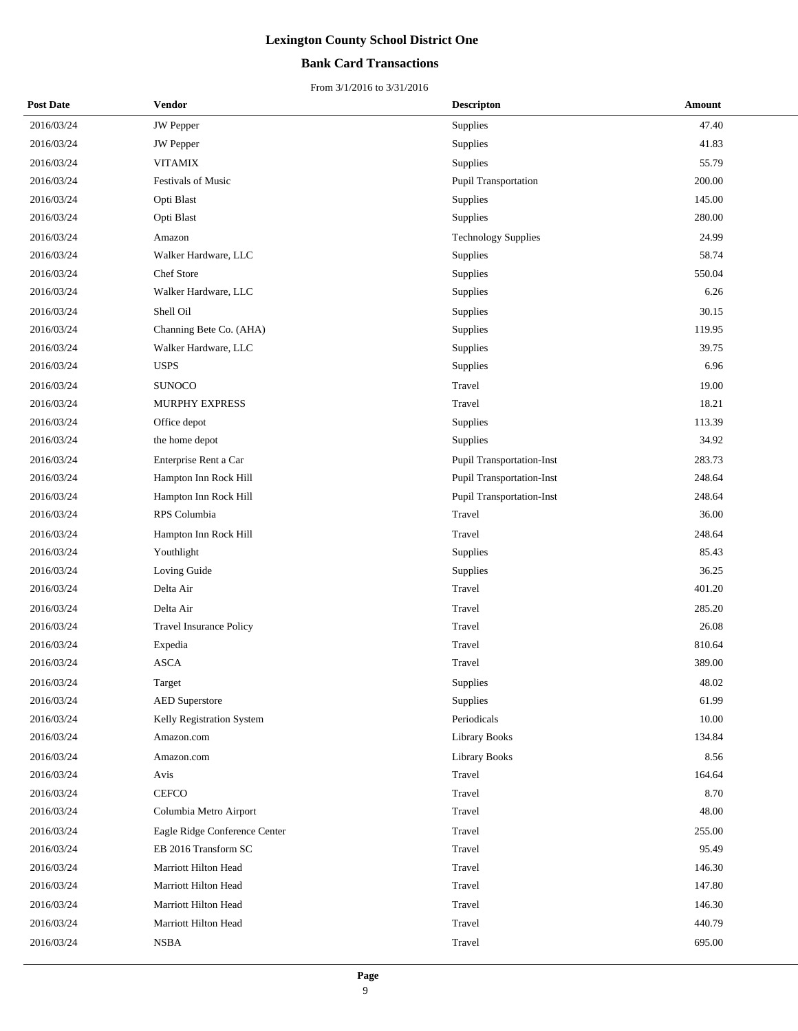## **Bank Card Transactions**

| <b>Post Date</b> | Vendor                         | <b>Descripton</b>          | Amount |
|------------------|--------------------------------|----------------------------|--------|
| 2016/03/24       | <b>JW</b> Pepper               | Supplies                   | 47.40  |
| 2016/03/24       | JW Pepper                      | Supplies                   | 41.83  |
| 2016/03/24       | <b>VITAMIX</b>                 | Supplies                   | 55.79  |
| 2016/03/24       | <b>Festivals of Music</b>      | Pupil Transportation       | 200.00 |
| 2016/03/24       | Opti Blast                     | Supplies                   | 145.00 |
| 2016/03/24       | Opti Blast                     | Supplies                   | 280.00 |
| 2016/03/24       | Amazon                         | <b>Technology Supplies</b> | 24.99  |
| 2016/03/24       | Walker Hardware, LLC           | Supplies                   | 58.74  |
| 2016/03/24       | Chef Store                     | Supplies                   | 550.04 |
| 2016/03/24       | Walker Hardware, LLC           | Supplies                   | 6.26   |
| 2016/03/24       | Shell Oil                      | Supplies                   | 30.15  |
| 2016/03/24       | Channing Bete Co. (AHA)        | Supplies                   | 119.95 |
| 2016/03/24       | Walker Hardware, LLC           | Supplies                   | 39.75  |
| 2016/03/24       | <b>USPS</b>                    | Supplies                   | 6.96   |
| 2016/03/24       | <b>SUNOCO</b>                  | Travel                     | 19.00  |
| 2016/03/24       | <b>MURPHY EXPRESS</b>          | Travel                     | 18.21  |
| 2016/03/24       | Office depot                   | Supplies                   | 113.39 |
| 2016/03/24       | the home depot                 | Supplies                   | 34.92  |
| 2016/03/24       | Enterprise Rent a Car          | Pupil Transportation-Inst  | 283.73 |
| 2016/03/24       | Hampton Inn Rock Hill          | Pupil Transportation-Inst  | 248.64 |
| 2016/03/24       | Hampton Inn Rock Hill          | Pupil Transportation-Inst  | 248.64 |
| 2016/03/24       | RPS Columbia                   | Travel                     | 36.00  |
| 2016/03/24       | Hampton Inn Rock Hill          | Travel                     | 248.64 |
| 2016/03/24       | Youthlight                     | Supplies                   | 85.43  |
| 2016/03/24       | Loving Guide                   | Supplies                   | 36.25  |
| 2016/03/24       | Delta Air                      | Travel                     | 401.20 |
| 2016/03/24       | Delta Air                      | Travel                     | 285.20 |
| 2016/03/24       | <b>Travel Insurance Policy</b> | Travel                     | 26.08  |
| 2016/03/24       | Expedia                        | Travel                     | 810.64 |
| 2016/03/24       | <b>ASCA</b>                    | Travel                     | 389.00 |
| 2016/03/24       | Target                         | Supplies                   | 48.02  |
| 2016/03/24       | <b>AED</b> Superstore          | Supplies                   | 61.99  |
| 2016/03/24       | Kelly Registration System      | Periodicals                | 10.00  |
| 2016/03/24       | Amazon.com                     | Library Books              | 134.84 |
| 2016/03/24       | Amazon.com                     | <b>Library Books</b>       | 8.56   |
| 2016/03/24       | Avis                           | Travel                     | 164.64 |
| 2016/03/24       | <b>CEFCO</b>                   | Travel                     | 8.70   |
| 2016/03/24       | Columbia Metro Airport         | Travel                     | 48.00  |
| 2016/03/24       | Eagle Ridge Conference Center  | Travel                     | 255.00 |
| 2016/03/24       | EB 2016 Transform SC           | Travel                     | 95.49  |
| 2016/03/24       | Marriott Hilton Head           | Travel                     | 146.30 |
| 2016/03/24       | Marriott Hilton Head           | Travel                     | 147.80 |
| 2016/03/24       | Marriott Hilton Head           | Travel                     | 146.30 |
| 2016/03/24       | Marriott Hilton Head           | Travel                     | 440.79 |
| 2016/03/24       | <b>NSBA</b>                    | Travel                     | 695.00 |
|                  |                                |                            |        |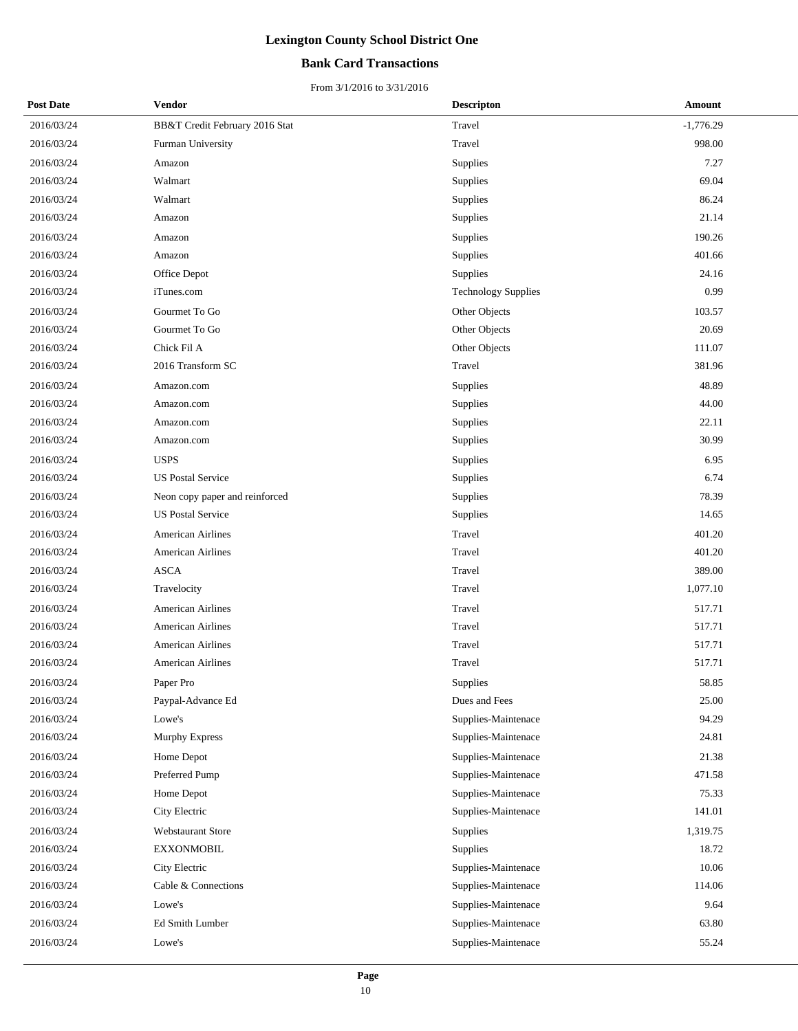## **Bank Card Transactions**

| <b>Post Date</b> | Vendor                         | <b>Descripton</b>          | Amount      |
|------------------|--------------------------------|----------------------------|-------------|
| 2016/03/24       | BB&T Credit February 2016 Stat | Travel                     | $-1,776.29$ |
| 2016/03/24       | Furman University              | Travel                     | 998.00      |
| 2016/03/24       | Amazon                         | Supplies                   | 7.27        |
| 2016/03/24       | Walmart                        | Supplies                   | 69.04       |
| 2016/03/24       | Walmart                        | Supplies                   | 86.24       |
| 2016/03/24       | Amazon                         | Supplies                   | 21.14       |
| 2016/03/24       | Amazon                         | Supplies                   | 190.26      |
| 2016/03/24       | Amazon                         | Supplies                   | 401.66      |
| 2016/03/24       | Office Depot                   | Supplies                   | 24.16       |
| 2016/03/24       | iTunes.com                     | <b>Technology Supplies</b> | 0.99        |
| 2016/03/24       | Gourmet To Go                  | Other Objects              | 103.57      |
| 2016/03/24       | Gourmet To Go                  | Other Objects              | 20.69       |
| 2016/03/24       | Chick Fil A                    | Other Objects              | 111.07      |
| 2016/03/24       | 2016 Transform SC              | Travel                     | 381.96      |
| 2016/03/24       | Amazon.com                     | Supplies                   | 48.89       |
| 2016/03/24       | Amazon.com                     | Supplies                   | 44.00       |
| 2016/03/24       | Amazon.com                     | Supplies                   | 22.11       |
| 2016/03/24       | Amazon.com                     | Supplies                   | 30.99       |
| 2016/03/24       | <b>USPS</b>                    | Supplies                   | 6.95        |
| 2016/03/24       | <b>US Postal Service</b>       | Supplies                   | 6.74        |
| 2016/03/24       | Neon copy paper and reinforced | Supplies                   | 78.39       |
| 2016/03/24       | <b>US Postal Service</b>       | Supplies                   | 14.65       |
| 2016/03/24       | <b>American Airlines</b>       | Travel                     | 401.20      |
| 2016/03/24       | <b>American Airlines</b>       | Travel                     | 401.20      |
| 2016/03/24       | ASCA                           | Travel                     | 389.00      |
| 2016/03/24       | Travelocity                    | Travel                     | 1,077.10    |
| 2016/03/24       | <b>American Airlines</b>       | Travel                     | 517.71      |
| 2016/03/24       | <b>American Airlines</b>       | Travel                     | 517.71      |
| 2016/03/24       | American Airlines              | Travel                     | 517.71      |
| 2016/03/24       | American Airlines              | Travel                     | 517.71      |
| 2016/03/24       | Paper Pro                      | Supplies                   | 58.85       |
| 2016/03/24       | Paypal-Advance Ed              | Dues and Fees              | 25.00       |
| 2016/03/24       | Lowe's                         | Supplies-Maintenace        | 94.29       |
| 2016/03/24       | Murphy Express                 | Supplies-Maintenace        | 24.81       |
| 2016/03/24       | Home Depot                     | Supplies-Maintenace        | 21.38       |
| 2016/03/24       | Preferred Pump                 | Supplies-Maintenace        | 471.58      |
| 2016/03/24       | Home Depot                     | Supplies-Maintenace        | 75.33       |
| 2016/03/24       | City Electric                  | Supplies-Maintenace        | 141.01      |
| 2016/03/24       | Webstaurant Store              | Supplies                   | 1,319.75    |
| 2016/03/24       | <b>EXXONMOBIL</b>              | Supplies                   | 18.72       |
| 2016/03/24       | City Electric                  | Supplies-Maintenace        | 10.06       |
| 2016/03/24       | Cable & Connections            | Supplies-Maintenace        | 114.06      |
| 2016/03/24       | Lowe's                         | Supplies-Maintenace        | 9.64        |
| 2016/03/24       | Ed Smith Lumber                | Supplies-Maintenace        | 63.80       |
| 2016/03/24       | Lowe's                         | Supplies-Maintenace        | 55.24       |
|                  |                                |                            |             |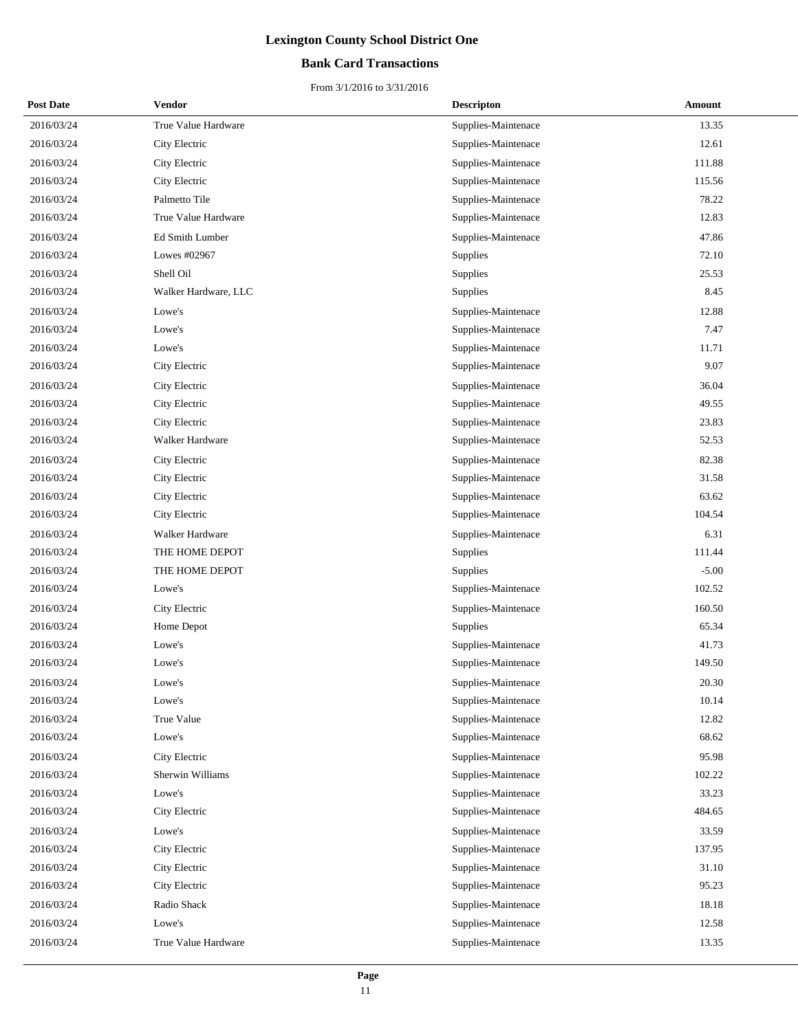## **Bank Card Transactions**

| <b>Post Date</b> | Vendor               | <b>Descripton</b>   | Amount  |
|------------------|----------------------|---------------------|---------|
| 2016/03/24       | True Value Hardware  | Supplies-Maintenace | 13.35   |
| 2016/03/24       | City Electric        | Supplies-Maintenace | 12.61   |
| 2016/03/24       | City Electric        | Supplies-Maintenace | 111.88  |
| 2016/03/24       | City Electric        | Supplies-Maintenace | 115.56  |
| 2016/03/24       | Palmetto Tile        | Supplies-Maintenace | 78.22   |
| 2016/03/24       | True Value Hardware  | Supplies-Maintenace | 12.83   |
| 2016/03/24       | Ed Smith Lumber      | Supplies-Maintenace | 47.86   |
| 2016/03/24       | Lowes #02967         | Supplies            | 72.10   |
| 2016/03/24       | Shell Oil            | Supplies            | 25.53   |
| 2016/03/24       | Walker Hardware, LLC | Supplies            | 8.45    |
| 2016/03/24       | Lowe's               | Supplies-Maintenace | 12.88   |
| 2016/03/24       | Lowe's               | Supplies-Maintenace | 7.47    |
| 2016/03/24       | Lowe's               | Supplies-Maintenace | 11.71   |
| 2016/03/24       | City Electric        | Supplies-Maintenace | 9.07    |
| 2016/03/24       | City Electric        | Supplies-Maintenace | 36.04   |
| 2016/03/24       | City Electric        | Supplies-Maintenace | 49.55   |
| 2016/03/24       | City Electric        | Supplies-Maintenace | 23.83   |
| 2016/03/24       | Walker Hardware      | Supplies-Maintenace | 52.53   |
| 2016/03/24       | City Electric        | Supplies-Maintenace | 82.38   |
| 2016/03/24       | City Electric        | Supplies-Maintenace | 31.58   |
| 2016/03/24       | City Electric        | Supplies-Maintenace | 63.62   |
| 2016/03/24       | City Electric        | Supplies-Maintenace | 104.54  |
| 2016/03/24       | Walker Hardware      | Supplies-Maintenace | 6.31    |
| 2016/03/24       | THE HOME DEPOT       | Supplies            | 111.44  |
| 2016/03/24       | THE HOME DEPOT       | Supplies            | $-5.00$ |
| 2016/03/24       | Lowe's               | Supplies-Maintenace | 102.52  |
| 2016/03/24       | City Electric        | Supplies-Maintenace | 160.50  |
| 2016/03/24       | Home Depot           | Supplies            | 65.34   |
| 2016/03/24       | Lowe's               | Supplies-Maintenace | 41.73   |
| 2016/03/24       | Lowe's               | Supplies-Maintenace | 149.50  |
| 2016/03/24       | Lowe's               | Supplies-Maintenace | 20.30   |
| 2016/03/24       | Lowe's               | Supplies-Maintenace | 10.14   |
| 2016/03/24       | True Value           | Supplies-Maintenace | 12.82   |
| 2016/03/24       | Lowe's               | Supplies-Maintenace | 68.62   |
| 2016/03/24       | City Electric        | Supplies-Maintenace | 95.98   |
| 2016/03/24       | Sherwin Williams     | Supplies-Maintenace | 102.22  |
| 2016/03/24       | Lowe's               | Supplies-Maintenace | 33.23   |
| 2016/03/24       | City Electric        | Supplies-Maintenace | 484.65  |
| 2016/03/24       | Lowe's               | Supplies-Maintenace | 33.59   |
| 2016/03/24       | City Electric        | Supplies-Maintenace | 137.95  |
| 2016/03/24       | City Electric        | Supplies-Maintenace | 31.10   |
| 2016/03/24       | City Electric        | Supplies-Maintenace | 95.23   |
| 2016/03/24       | Radio Shack          | Supplies-Maintenace | 18.18   |
| 2016/03/24       | Lowe's               | Supplies-Maintenace | 12.58   |
| 2016/03/24       | True Value Hardware  | Supplies-Maintenace | 13.35   |
|                  |                      |                     |         |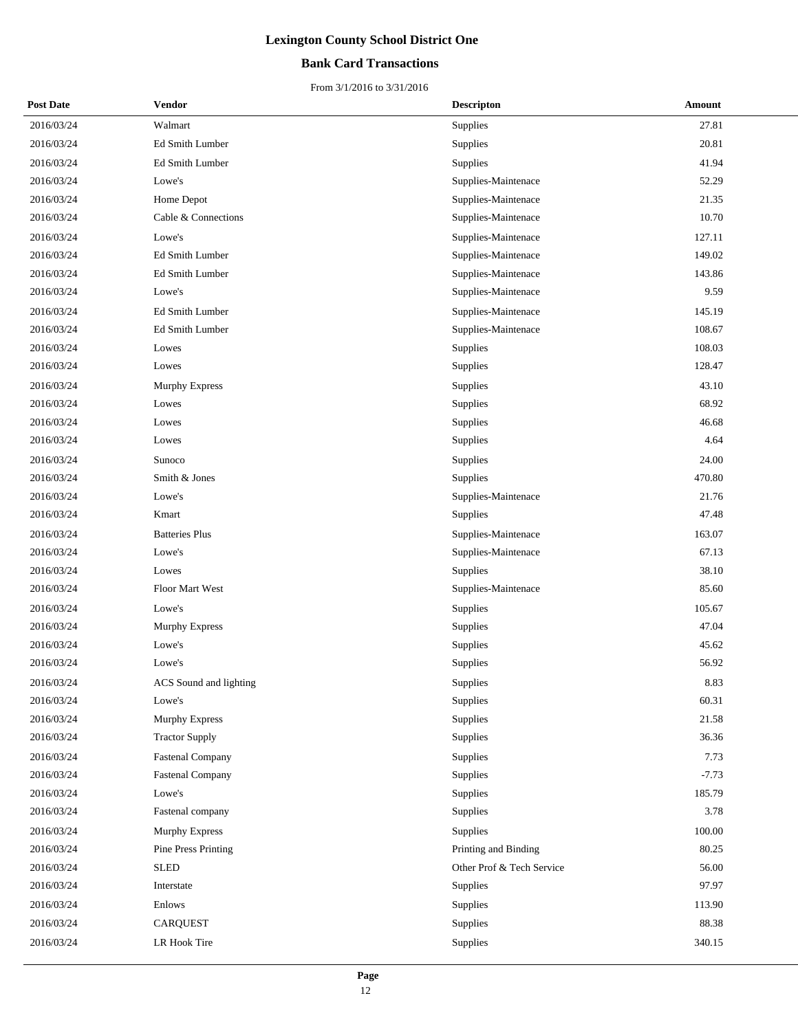## **Bank Card Transactions**

| <b>Post Date</b> | Vendor                     | <b>Descripton</b>         | Amount  |
|------------------|----------------------------|---------------------------|---------|
| 2016/03/24       | Walmart                    | Supplies                  | 27.81   |
| 2016/03/24       | Ed Smith Lumber            | Supplies                  | 20.81   |
| 2016/03/24       | Ed Smith Lumber            | Supplies                  | 41.94   |
| 2016/03/24       | Lowe's                     | Supplies-Maintenace       | 52.29   |
| 2016/03/24       | Home Depot                 | Supplies-Maintenace       | 21.35   |
| 2016/03/24       | Cable & Connections        | Supplies-Maintenace       | 10.70   |
| 2016/03/24       | Lowe's                     | Supplies-Maintenace       | 127.11  |
| 2016/03/24       | Ed Smith Lumber            | Supplies-Maintenace       | 149.02  |
| 2016/03/24       | Ed Smith Lumber            | Supplies-Maintenace       | 143.86  |
| 2016/03/24       | Lowe's                     | Supplies-Maintenace       | 9.59    |
| 2016/03/24       | Ed Smith Lumber            | Supplies-Maintenace       | 145.19  |
| 2016/03/24       | Ed Smith Lumber            | Supplies-Maintenace       | 108.67  |
| 2016/03/24       | Lowes                      | Supplies                  | 108.03  |
| 2016/03/24       | Lowes                      | Supplies                  | 128.47  |
| 2016/03/24       | <b>Murphy Express</b>      | Supplies                  | 43.10   |
| 2016/03/24       | Lowes                      | Supplies                  | 68.92   |
| 2016/03/24       | Lowes                      | Supplies                  | 46.68   |
| 2016/03/24       | Lowes                      | Supplies                  | 4.64    |
| 2016/03/24       | Sunoco                     | Supplies                  | 24.00   |
| 2016/03/24       | Smith & Jones              | Supplies                  | 470.80  |
| 2016/03/24       | Lowe's                     | Supplies-Maintenace       | 21.76   |
| 2016/03/24       | Kmart                      | Supplies                  | 47.48   |
| 2016/03/24       | <b>Batteries Plus</b>      | Supplies-Maintenace       | 163.07  |
| 2016/03/24       | Lowe's                     | Supplies-Maintenace       | 67.13   |
| 2016/03/24       | Lowes                      | Supplies                  | 38.10   |
| 2016/03/24       | Floor Mart West            | Supplies-Maintenace       | 85.60   |
| 2016/03/24       | Lowe's                     | Supplies                  | 105.67  |
| 2016/03/24       | Murphy Express             | Supplies                  | 47.04   |
| 2016/03/24       | Lowe's                     | Supplies                  | 45.62   |
| 2016/03/24       | Lowe's                     | Supplies                  | 56.92   |
| 2016/03/24       | ACS Sound and lighting     | Supplies                  | 8.83    |
| 2016/03/24       | Lowe's                     | Supplies                  | 60.31   |
| 2016/03/24       | Murphy Express             | Supplies                  | 21.58   |
| 2016/03/24       | <b>Tractor Supply</b>      | Supplies                  | 36.36   |
| 2016/03/24       | <b>Fastenal Company</b>    | Supplies                  | 7.73    |
| 2016/03/24       | <b>Fastenal Company</b>    | Supplies                  | $-7.73$ |
| 2016/03/24       | Lowe's                     | Supplies                  | 185.79  |
| 2016/03/24       | Fastenal company           | Supplies                  | 3.78    |
| 2016/03/24       | <b>Murphy Express</b>      | Supplies                  | 100.00  |
| 2016/03/24       | <b>Pine Press Printing</b> | Printing and Binding      | 80.25   |
| 2016/03/24       | <b>SLED</b>                | Other Prof & Tech Service | 56.00   |
| 2016/03/24       | Interstate                 | Supplies                  | 97.97   |
| 2016/03/24       | Enlows                     | Supplies                  | 113.90  |
| 2016/03/24       | <b>CARQUEST</b>            | Supplies                  | 88.38   |
| 2016/03/24       | LR Hook Tire               | Supplies                  | 340.15  |
|                  |                            |                           |         |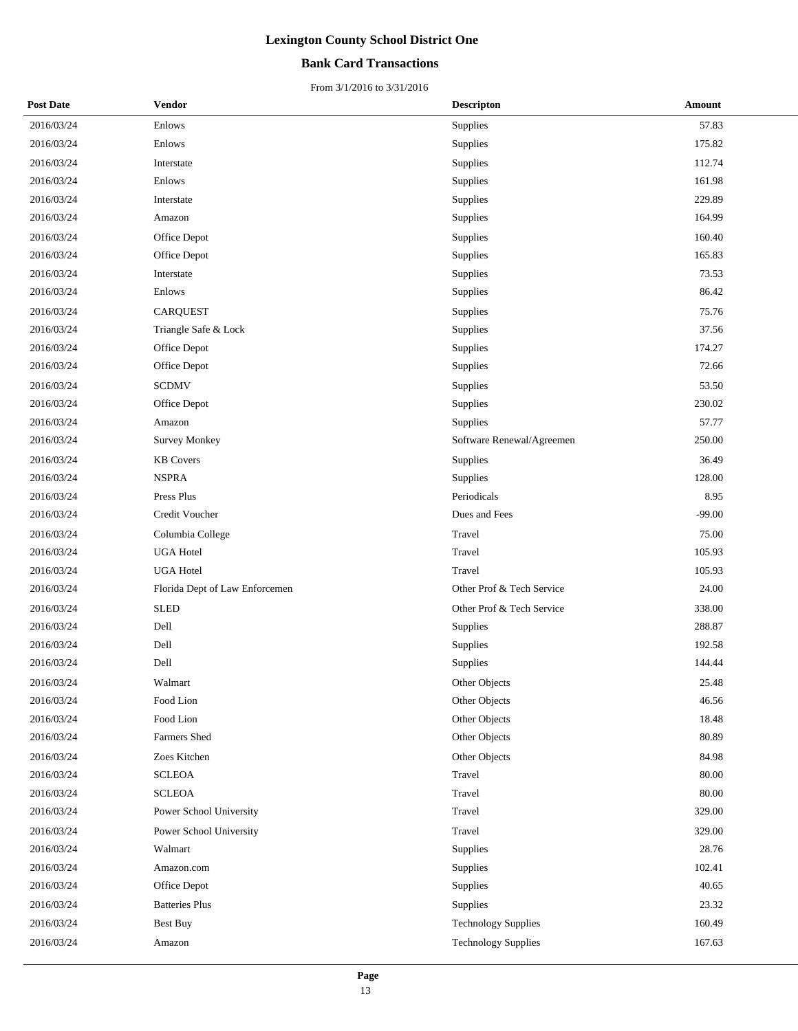## **Bank Card Transactions**

| <b>Post Date</b> | <b>Vendor</b>                  | <b>Descripton</b>          | Amount   |
|------------------|--------------------------------|----------------------------|----------|
| 2016/03/24       | Enlows                         | Supplies                   | 57.83    |
| 2016/03/24       | Enlows                         | Supplies                   | 175.82   |
| 2016/03/24       | Interstate                     | Supplies                   | 112.74   |
| 2016/03/24       | Enlows                         | Supplies                   | 161.98   |
| 2016/03/24       | Interstate                     | Supplies                   | 229.89   |
| 2016/03/24       | Amazon                         | Supplies                   | 164.99   |
| 2016/03/24       | Office Depot                   | Supplies                   | 160.40   |
| 2016/03/24       | Office Depot                   | Supplies                   | 165.83   |
| 2016/03/24       | Interstate                     | Supplies                   | 73.53    |
| 2016/03/24       | Enlows                         | Supplies                   | 86.42    |
| 2016/03/24       | <b>CARQUEST</b>                | Supplies                   | 75.76    |
| 2016/03/24       | Triangle Safe & Lock           | Supplies                   | 37.56    |
| 2016/03/24       | Office Depot                   | Supplies                   | 174.27   |
| 2016/03/24       | Office Depot                   | Supplies                   | 72.66    |
| 2016/03/24       | <b>SCDMV</b>                   | Supplies                   | 53.50    |
| 2016/03/24       | Office Depot                   | Supplies                   | 230.02   |
| 2016/03/24       | Amazon                         | Supplies                   | 57.77    |
| 2016/03/24       | <b>Survey Monkey</b>           | Software Renewal/Agreemen  | 250.00   |
| 2016/03/24       | <b>KB</b> Covers               | Supplies                   | 36.49    |
| 2016/03/24       | <b>NSPRA</b>                   | Supplies                   | 128.00   |
| 2016/03/24       | Press Plus                     | Periodicals                | 8.95     |
| 2016/03/24       | Credit Voucher                 | Dues and Fees              | $-99.00$ |
| 2016/03/24       | Columbia College               | Travel                     | 75.00    |
| 2016/03/24       | <b>UGA Hotel</b>               | Travel                     | 105.93   |
| 2016/03/24       | <b>UGA Hotel</b>               | Travel                     | 105.93   |
| 2016/03/24       | Florida Dept of Law Enforcemen | Other Prof & Tech Service  | 24.00    |
| 2016/03/24       | <b>SLED</b>                    | Other Prof & Tech Service  | 338.00   |
| 2016/03/24       | Dell                           | Supplies                   | 288.87   |
| 2016/03/24       | Dell                           | Supplies                   | 192.58   |
| 2016/03/24       | Dell                           | Supplies                   | 144.44   |
| 2016/03/24       | Walmart                        | Other Objects              | 25.48    |
| 2016/03/24       | Food Lion                      | Other Objects              | 46.56    |
| 2016/03/24       | Food Lion                      | Other Objects              | 18.48    |
| 2016/03/24       | Farmers Shed                   | Other Objects              | 80.89    |
| 2016/03/24       | Zoes Kitchen                   | Other Objects              | 84.98    |
| 2016/03/24       | <b>SCLEOA</b>                  | Travel                     | 80.00    |
| 2016/03/24       | <b>SCLEOA</b>                  | Travel                     | 80.00    |
| 2016/03/24       | Power School University        | Travel                     | 329.00   |
| 2016/03/24       | Power School University        | Travel                     | 329.00   |
| 2016/03/24       | Walmart                        | Supplies                   | 28.76    |
| 2016/03/24       | Amazon.com                     | Supplies                   | 102.41   |
| 2016/03/24       | Office Depot                   | Supplies                   | 40.65    |
| 2016/03/24       | <b>Batteries Plus</b>          | Supplies                   | 23.32    |
| 2016/03/24       | <b>Best Buy</b>                | <b>Technology Supplies</b> | 160.49   |
| 2016/03/24       | Amazon                         | <b>Technology Supplies</b> | 167.63   |
|                  |                                |                            |          |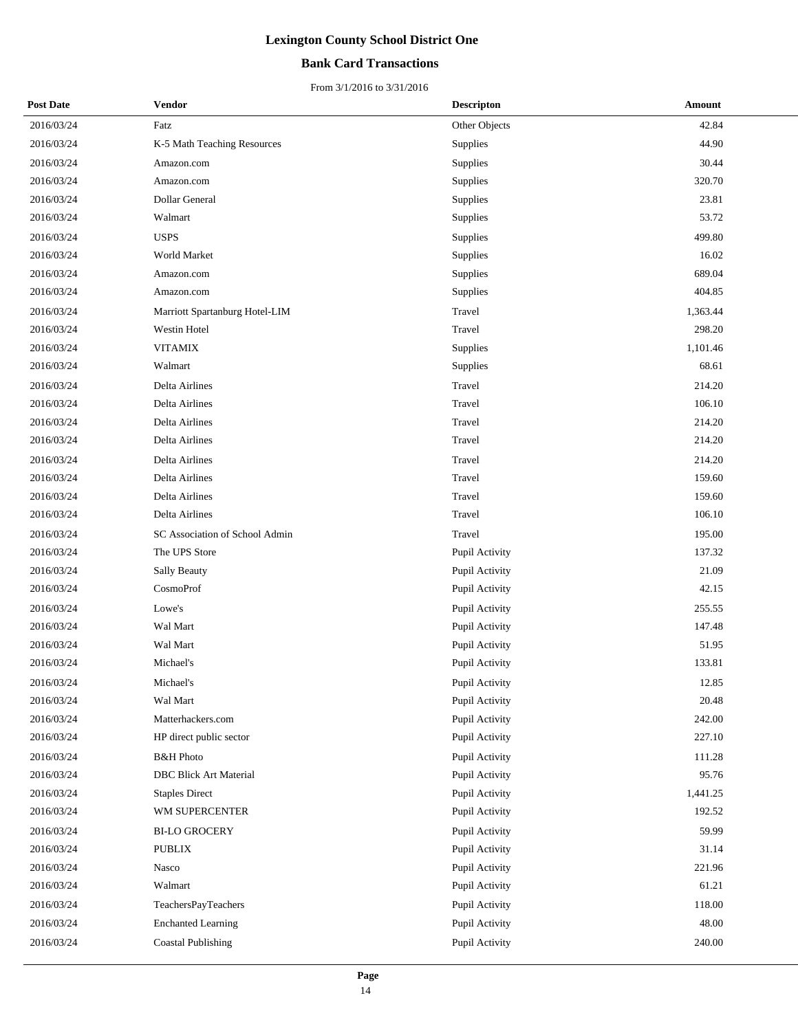## **Bank Card Transactions**

| <b>Post Date</b> | Vendor                         | <b>Descripton</b> | Amount   |
|------------------|--------------------------------|-------------------|----------|
| 2016/03/24       | Fatz                           | Other Objects     | 42.84    |
| 2016/03/24       | K-5 Math Teaching Resources    | Supplies          | 44.90    |
| 2016/03/24       | Amazon.com                     | Supplies          | 30.44    |
| 2016/03/24       | Amazon.com                     | Supplies          | 320.70   |
| 2016/03/24       | Dollar General                 | Supplies          | 23.81    |
| 2016/03/24       | Walmart                        | Supplies          | 53.72    |
| 2016/03/24       | <b>USPS</b>                    | Supplies          | 499.80   |
| 2016/03/24       | World Market                   | Supplies          | 16.02    |
| 2016/03/24       | Amazon.com                     | Supplies          | 689.04   |
| 2016/03/24       | Amazon.com                     | Supplies          | 404.85   |
| 2016/03/24       | Marriott Spartanburg Hotel-LIM | Travel            | 1,363.44 |
| 2016/03/24       | Westin Hotel                   | Travel            | 298.20   |
| 2016/03/24       | <b>VITAMIX</b>                 | Supplies          | 1,101.46 |
| 2016/03/24       | Walmart                        | Supplies          | 68.61    |
| 2016/03/24       | Delta Airlines                 | Travel            | 214.20   |
| 2016/03/24       | Delta Airlines                 | Travel            | 106.10   |
| 2016/03/24       | Delta Airlines                 | Travel            | 214.20   |
| 2016/03/24       | Delta Airlines                 | Travel            | 214.20   |
| 2016/03/24       | Delta Airlines                 | Travel            | 214.20   |
| 2016/03/24       | Delta Airlines                 | Travel            | 159.60   |
| 2016/03/24       | Delta Airlines                 | Travel            | 159.60   |
| 2016/03/24       | Delta Airlines                 | Travel            | 106.10   |
| 2016/03/24       | SC Association of School Admin | Travel            | 195.00   |
| 2016/03/24       | The UPS Store                  | Pupil Activity    | 137.32   |
| 2016/03/24       | Sally Beauty                   | Pupil Activity    | 21.09    |
| 2016/03/24       | CosmoProf                      | Pupil Activity    | 42.15    |
| 2016/03/24       | Lowe's                         | Pupil Activity    | 255.55   |
| 2016/03/24       | Wal Mart                       | Pupil Activity    | 147.48   |
| 2016/03/24       | Wal Mart                       | Pupil Activity    | 51.95    |
| 2016/03/24       | Michael's                      | Pupil Activity    | 133.81   |
| 2016/03/24       | Michael's                      | Pupil Activity    | 12.85    |
| 2016/03/24       | Wal Mart                       | Pupil Activity    | 20.48    |
| 2016/03/24       | Matterhackers.com              | Pupil Activity    | 242.00   |
| 2016/03/24       | HP direct public sector        | Pupil Activity    | 227.10   |
| 2016/03/24       | <b>B&amp;H</b> Photo           | Pupil Activity    | 111.28   |
| 2016/03/24       | <b>DBC Blick Art Material</b>  | Pupil Activity    | 95.76    |
| 2016/03/24       | <b>Staples Direct</b>          | Pupil Activity    | 1,441.25 |
| 2016/03/24       | WM SUPERCENTER                 | Pupil Activity    | 192.52   |
| 2016/03/24       | <b>BI-LO GROCERY</b>           | Pupil Activity    | 59.99    |
| 2016/03/24       | <b>PUBLIX</b>                  | Pupil Activity    | 31.14    |
| 2016/03/24       | Nasco                          | Pupil Activity    | 221.96   |
| 2016/03/24       | Walmart                        | Pupil Activity    | 61.21    |
| 2016/03/24       | TeachersPayTeachers            | Pupil Activity    | 118.00   |
| 2016/03/24       | <b>Enchanted Learning</b>      | Pupil Activity    | 48.00    |
| 2016/03/24       | <b>Coastal Publishing</b>      | Pupil Activity    | 240.00   |
|                  |                                |                   |          |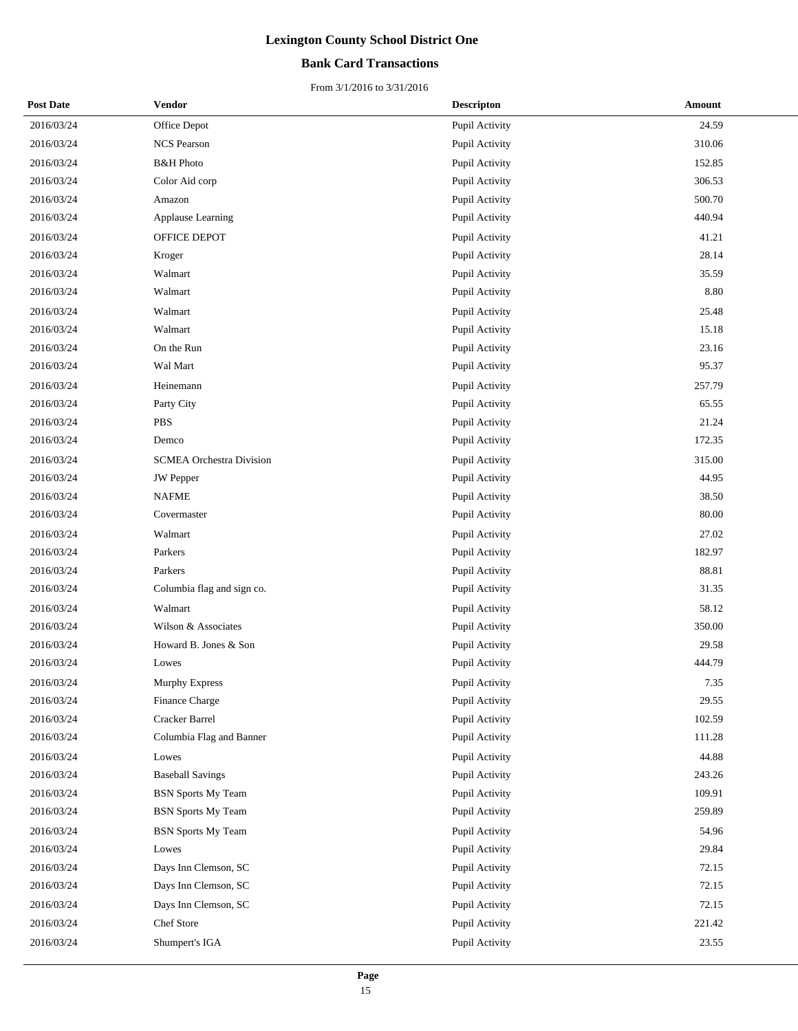## **Bank Card Transactions**

| <b>Post Date</b> | Vendor                          | <b>Descripton</b> | Amount |
|------------------|---------------------------------|-------------------|--------|
| 2016/03/24       | Office Depot                    | Pupil Activity    | 24.59  |
| 2016/03/24       | <b>NCS Pearson</b>              | Pupil Activity    | 310.06 |
| 2016/03/24       | <b>B&amp;H</b> Photo            | Pupil Activity    | 152.85 |
| 2016/03/24       | Color Aid corp                  | Pupil Activity    | 306.53 |
| 2016/03/24       | Amazon                          | Pupil Activity    | 500.70 |
| 2016/03/24       | Applause Learning               | Pupil Activity    | 440.94 |
| 2016/03/24       | OFFICE DEPOT                    | Pupil Activity    | 41.21  |
| 2016/03/24       | Kroger                          | Pupil Activity    | 28.14  |
| 2016/03/24       | Walmart                         | Pupil Activity    | 35.59  |
| 2016/03/24       | Walmart                         | Pupil Activity    | 8.80   |
| 2016/03/24       | Walmart                         | Pupil Activity    | 25.48  |
| 2016/03/24       | Walmart                         | Pupil Activity    | 15.18  |
| 2016/03/24       | On the Run                      | Pupil Activity    | 23.16  |
| 2016/03/24       | Wal Mart                        | Pupil Activity    | 95.37  |
| 2016/03/24       | Heinemann                       | Pupil Activity    | 257.79 |
| 2016/03/24       | Party City                      | Pupil Activity    | 65.55  |
| 2016/03/24       | <b>PBS</b>                      | Pupil Activity    | 21.24  |
| 2016/03/24       | Demco                           | Pupil Activity    | 172.35 |
| 2016/03/24       | <b>SCMEA Orchestra Division</b> | Pupil Activity    | 315.00 |
| 2016/03/24       | <b>JW</b> Pepper                | Pupil Activity    | 44.95  |
| 2016/03/24       | <b>NAFME</b>                    | Pupil Activity    | 38.50  |
| 2016/03/24       | Covermaster                     | Pupil Activity    | 80.00  |
| 2016/03/24       | Walmart                         | Pupil Activity    | 27.02  |
| 2016/03/24       | Parkers                         | Pupil Activity    | 182.97 |
| 2016/03/24       | Parkers                         | Pupil Activity    | 88.81  |
| 2016/03/24       | Columbia flag and sign co.      | Pupil Activity    | 31.35  |
| 2016/03/24       | Walmart                         | Pupil Activity    | 58.12  |
| 2016/03/24       | Wilson & Associates             | Pupil Activity    | 350.00 |
| 2016/03/24       | Howard B. Jones & Son           | Pupil Activity    | 29.58  |
| 2016/03/24       | Lowes                           | Pupil Activity    | 444.79 |
| 2016/03/24       | Murphy Express                  | Pupil Activity    | 7.35   |
| 2016/03/24       | Finance Charge                  | Pupil Activity    | 29.55  |
| 2016/03/24       | Cracker Barrel                  | Pupil Activity    | 102.59 |
| 2016/03/24       | Columbia Flag and Banner        | Pupil Activity    | 111.28 |
| 2016/03/24       | Lowes                           | Pupil Activity    | 44.88  |
| 2016/03/24       | <b>Baseball Savings</b>         | Pupil Activity    | 243.26 |
| 2016/03/24       | <b>BSN</b> Sports My Team       | Pupil Activity    | 109.91 |
| 2016/03/24       | <b>BSN</b> Sports My Team       | Pupil Activity    | 259.89 |
| 2016/03/24       | <b>BSN</b> Sports My Team       | Pupil Activity    | 54.96  |
| 2016/03/24       | Lowes                           | Pupil Activity    | 29.84  |
| 2016/03/24       | Days Inn Clemson, SC            | Pupil Activity    | 72.15  |
| 2016/03/24       | Days Inn Clemson, SC            | Pupil Activity    | 72.15  |
| 2016/03/24       | Days Inn Clemson, SC            | Pupil Activity    | 72.15  |
| 2016/03/24       | Chef Store                      | Pupil Activity    | 221.42 |
| 2016/03/24       | Shumpert's IGA                  | Pupil Activity    | 23.55  |
|                  |                                 |                   |        |